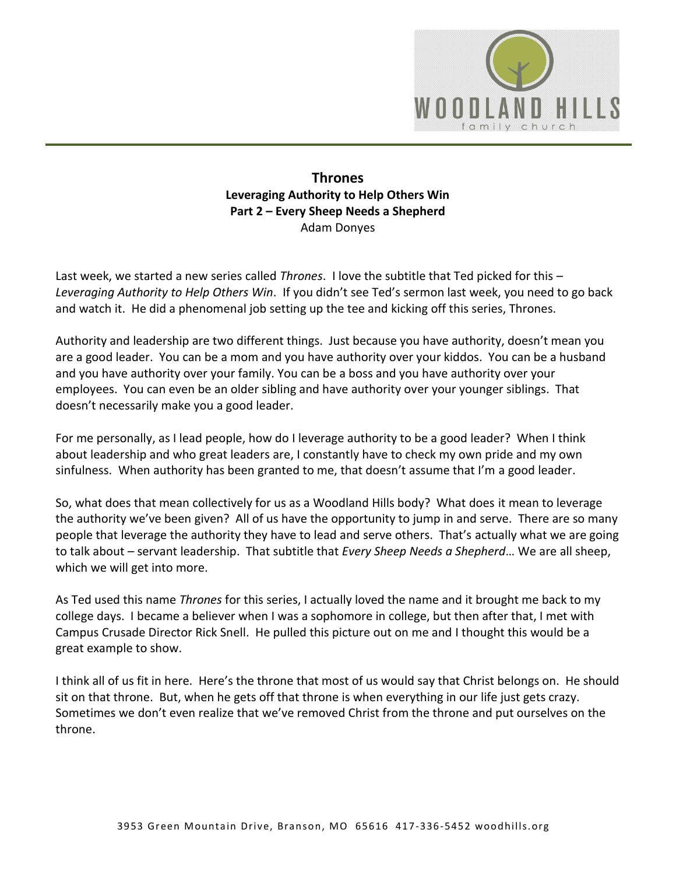

## **Thrones Leveraging Authority to Help Others Win Part 2 – Every Sheep Needs a Shepherd**  Adam Donyes

Last week, we started a new series called *Thrones*. I love the subtitle that Ted picked for this – *Leveraging Authority to Help Others Win*. If you didn't see Ted's sermon last week, you need to go back and watch it. He did a phenomenal job setting up the tee and kicking off this series, Thrones.

Authority and leadership are two different things. Just because you have authority, doesn't mean you are a good leader. You can be a mom and you have authority over your kiddos. You can be a husband and you have authority over your family. You can be a boss and you have authority over your employees. You can even be an older sibling and have authority over your younger siblings. That doesn't necessarily make you a good leader.

For me personally, as I lead people, how do I leverage authority to be a good leader? When I think about leadership and who great leaders are, I constantly have to check my own pride and my own sinfulness. When authority has been granted to me, that doesn't assume that I'm a good leader.

So, what does that mean collectively for us as a Woodland Hills body? What does it mean to leverage the authority we've been given? All of us have the opportunity to jump in and serve. There are so many people that leverage the authority they have to lead and serve others. That's actually what we are going to talk about – servant leadership. That subtitle that *Every Sheep Needs a Shepherd*… We are all sheep, which we will get into more.

As Ted used this name *Thrones* for this series, I actually loved the name and it brought me back to my college days. I became a believer when I was a sophomore in college, but then after that, I met with Campus Crusade Director Rick Snell. He pulled this picture out on me and I thought this would be a great example to show.

I think all of us fit in here. Here's the throne that most of us would say that Christ belongs on. He should sit on that throne. But, when he gets off that throne is when everything in our life just gets crazy. Sometimes we don't even realize that we've removed Christ from the throne and put ourselves on the throne.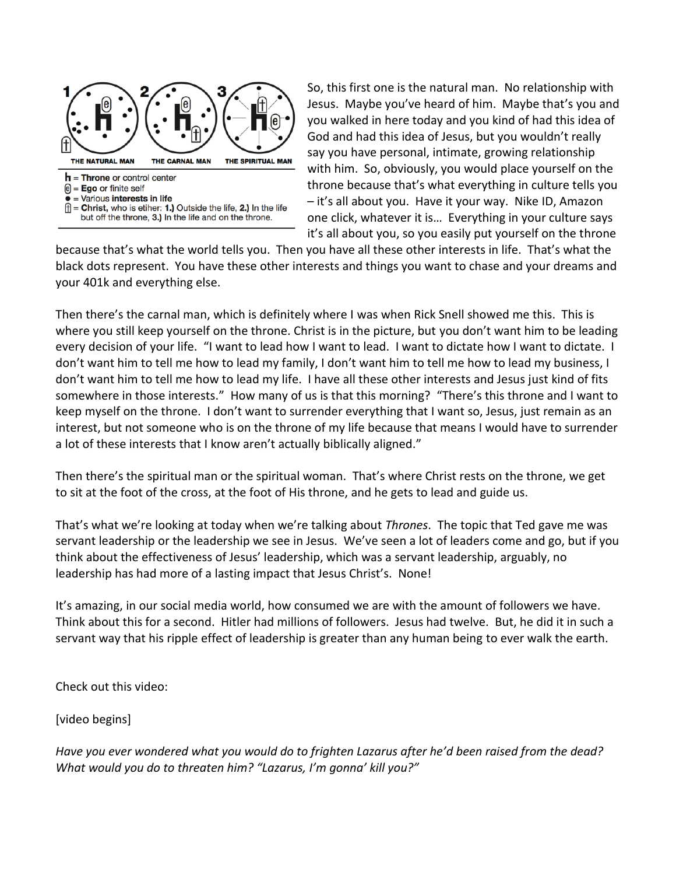

So, this first one is the natural man. No relationship with Jesus. Maybe you've heard of him. Maybe that's you and you walked in here today and you kind of had this idea of God and had this idea of Jesus, but you wouldn't really say you have personal, intimate, growing relationship with him. So, obviously, you would place yourself on the throne because that's what everything in culture tells you – it's all about you. Have it your way. Nike ID, Amazon one click, whatever it is… Everything in your culture says it's all about you, so you easily put yourself on the throne

because that's what the world tells you. Then you have all these other interests in life. That's what the black dots represent. You have these other interests and things you want to chase and your dreams and your 401k and everything else.

Then there's the carnal man, which is definitely where I was when Rick Snell showed me this. This is where you still keep yourself on the throne. Christ is in the picture, but you don't want him to be leading every decision of your life. "I want to lead how I want to lead. I want to dictate how I want to dictate. I don't want him to tell me how to lead my family, I don't want him to tell me how to lead my business, I don't want him to tell me how to lead my life. I have all these other interests and Jesus just kind of fits somewhere in those interests." How many of us is that this morning? "There's this throne and I want to keep myself on the throne. I don't want to surrender everything that I want so, Jesus, just remain as an interest, but not someone who is on the throne of my life because that means I would have to surrender a lot of these interests that I know aren't actually biblically aligned."

Then there's the spiritual man or the spiritual woman. That's where Christ rests on the throne, we get to sit at the foot of the cross, at the foot of His throne, and he gets to lead and guide us.

That's what we're looking at today when we're talking about *Thrones*. The topic that Ted gave me was servant leadership or the leadership we see in Jesus. We've seen a lot of leaders come and go, but if you think about the effectiveness of Jesus' leadership, which was a servant leadership, arguably, no leadership has had more of a lasting impact that Jesus Christ's. None!

It's amazing, in our social media world, how consumed we are with the amount of followers we have. Think about this for a second. Hitler had millions of followers. Jesus had twelve. But, he did it in such a servant way that his ripple effect of leadership is greater than any human being to ever walk the earth.

Check out this video:

[video begins]

*Have you ever wondered what you would do to frighten Lazarus after he'd been raised from the dead? What would you do to threaten him? "Lazarus, I'm gonna' kill you?"*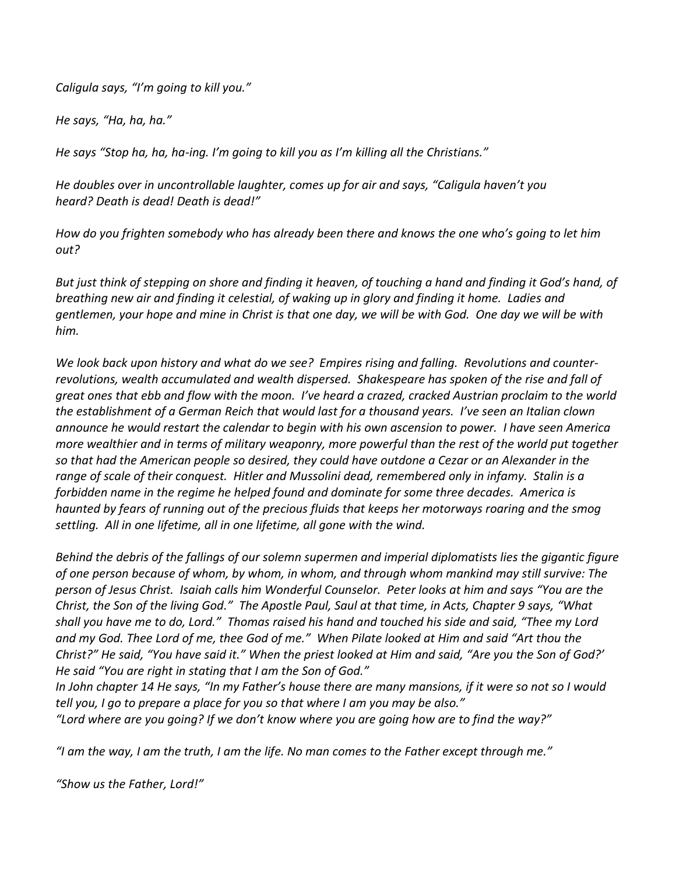*Caligula says, "I'm going to kill you."* 

*He says, "Ha, ha, ha."* 

*He says "Stop ha, ha, ha-ing. I'm going to kill you as I'm killing all the Christians."* 

*He doubles over in uncontrollable laughter, comes up for air and says, "Caligula haven't you heard? Death is dead! Death is dead!"*

*How do you frighten somebody who has already been there and knows the one who's going to let him out?* 

*But just think of stepping on shore and finding it heaven, of touching a hand and finding it God's hand, of breathing new air and finding it celestial, of waking up in glory and finding it home. Ladies and gentlemen, your hope and mine in Christ is that one day, we will be with God. One day we will be with him.* 

*We look back upon history and what do we see? Empires rising and falling. Revolutions and counterrevolutions, wealth accumulated and wealth dispersed. Shakespeare has spoken of the rise and fall of great ones that ebb and flow with the moon. I've heard a crazed, cracked Austrian proclaim to the world the establishment of a German Reich that would last for a thousand years. I've seen an Italian clown announce he would restart the calendar to begin with his own ascension to power. I have seen America more wealthier and in terms of military weaponry, more powerful than the rest of the world put together so that had the American people so desired, they could have outdone a Cezar or an Alexander in the range of scale of their conquest. Hitler and Mussolini dead, remembered only in infamy. Stalin is a forbidden name in the regime he helped found and dominate for some three decades. America is haunted by fears of running out of the precious fluids that keeps her motorways roaring and the smog settling. All in one lifetime, all in one lifetime, all gone with the wind.* 

*Behind the debris of the fallings of our solemn supermen and imperial diplomatists lies the gigantic figure of one person because of whom, by whom, in whom, and through whom mankind may still survive: The person of Jesus Christ. Isaiah calls him Wonderful Counselor. Peter looks at him and says "You are the Christ, the Son of the living God." The Apostle Paul, Saul at that time, in Acts, Chapter 9 says, "What shall you have me to do, Lord." Thomas raised his hand and touched his side and said, "Thee my Lord and my God. Thee Lord of me, thee God of me." When Pilate looked at Him and said "Art thou the Christ?" He said, "You have said it." When the priest looked at Him and said, "Are you the Son of God?' He said "You are right in stating that I am the Son of God."* 

*In John chapter 14 He says, "In my Father's house there are many mansions, if it were so not so I would tell you, I go to prepare a place for you so that where I am you may be also."*

*"Lord where are you going? If we don't know where you are going how are to find the way?"*

*"I am the way, I am the truth, I am the life. No man comes to the Father except through me."*

*"Show us the Father, Lord!"*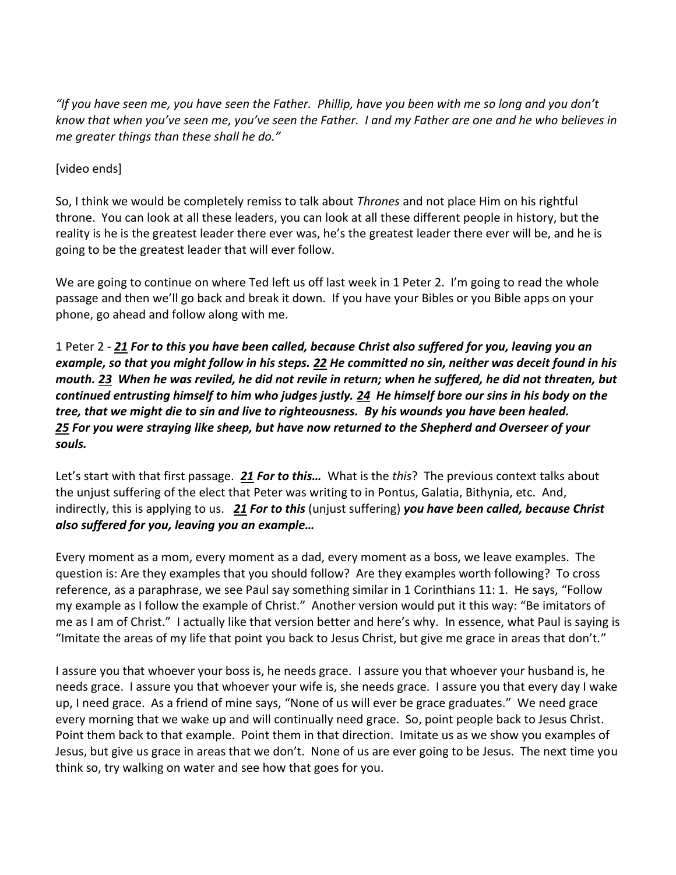*"If you have seen me, you have seen the Father. Phillip, have you been with me so long and you don't know that when you've seen me, you've seen the Father. I and my Father are one and he who believes in me greater things than these shall he do."*

## [video ends]

So, I think we would be completely remiss to talk about *Thrones* and not place Him on his rightful throne. You can look at all these leaders, you can look at all these different people in history, but the reality is he is the greatest leader there ever was, he's the greatest leader there ever will be, and he is going to be the greatest leader that will ever follow.

We are going to continue on where Ted left us off last week in 1 Peter 2. I'm going to read the whole passage and then we'll go back and break it down. If you have your Bibles or you Bible apps on your phone, go ahead and follow along with me.

1 Peter 2 - *[21](http://www.studylight.org/desk/?q=1pe%202:21&t1=en_esv&sr=1) For to this you have been called, because Christ also suffered for you, leaving you an example, so that you might follow in his steps. [22](http://www.studylight.org/desk/?q=1pe%202:22&t1=en_esv&sr=1) He committed no sin, neither was deceit found in his mouth. [23](http://www.studylight.org/desk/?q=1pe%202:23&t1=en_esv&sr=1) When he was reviled, he did not revile in return; when he suffered, he did not threaten, but continued entrusting himself to him who judges justly. [24](http://www.studylight.org/desk/?q=1pe%202:24&t1=en_esv&sr=1) He himself bore our sins in his body on the tree, that we might die to sin and live to righteousness. By his wounds you have been healed. [25](http://www.studylight.org/desk/?q=1pe%202:25&t1=en_esv&sr=1) For you were straying like sheep, but have now returned to the Shepherd and Overseer of your souls.*

Let's start with that first passage. *[21](http://www.studylight.org/desk/?q=1pe%202:21&t1=en_esv&sr=1) For to this…* What is the *this*? The previous context talks about the unjust suffering of the elect that Peter was writing to in Pontus, Galatia, Bithynia, etc. And, indirectly, this is applying to us. *[21](http://www.studylight.org/desk/?q=1pe%202:21&t1=en_esv&sr=1) For to this* (unjust suffering) *you have been called, because Christ also suffered for you, leaving you an example…*

Every moment as a mom, every moment as a dad, every moment as a boss, we leave examples. The question is: Are they examples that you should follow? Are they examples worth following? To cross reference, as a paraphrase, we see Paul say something similar in 1 Corinthians 11: 1. He says, "Follow my example as I follow the example of Christ." Another version would put it this way: "Be imitators of me as I am of Christ." I actually like that version better and here's why. In essence, what Paul is saying is "Imitate the areas of my life that point you back to Jesus Christ, but give me grace in areas that don't."

I assure you that whoever your boss is, he needs grace. I assure you that whoever your husband is, he needs grace. I assure you that whoever your wife is, she needs grace. I assure you that every day I wake up, I need grace. As a friend of mine says, "None of us will ever be grace graduates." We need grace every morning that we wake up and will continually need grace. So, point people back to Jesus Christ. Point them back to that example. Point them in that direction. Imitate us as we show you examples of Jesus, but give us grace in areas that we don't. None of us are ever going to be Jesus. The next time you think so, try walking on water and see how that goes for you.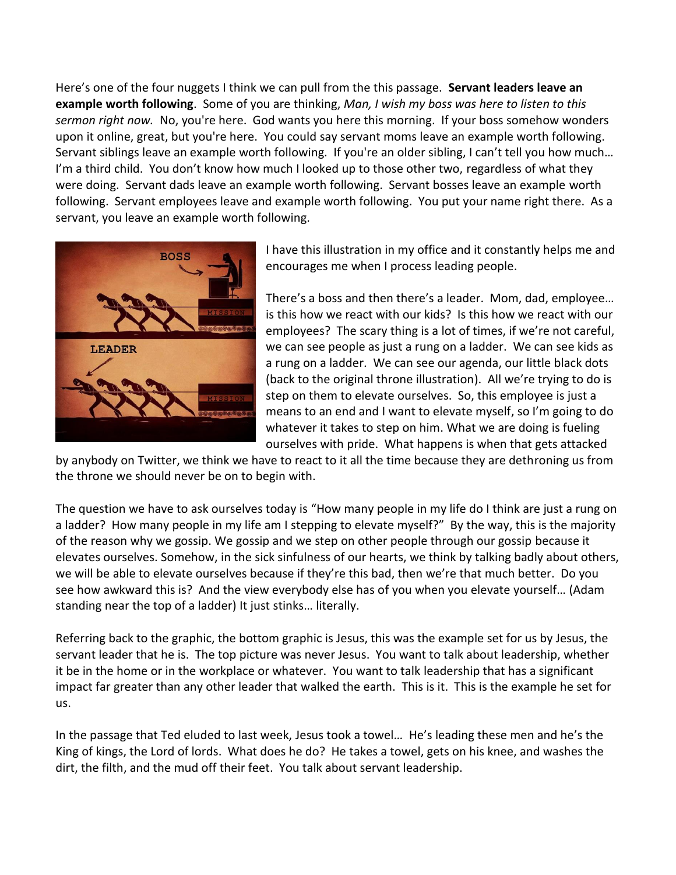Here's one of the four nuggets I think we can pull from the this passage. **Servant leaders leave an example worth following**. Some of you are thinking, *Man, I wish my boss was here to listen to this sermon right now.* No, you're here. God wants you here this morning. If your boss somehow wonders upon it online, great, but you're here. You could say servant moms leave an example worth following. Servant siblings leave an example worth following. If you're an older sibling, I can't tell you how much... I'm a third child. You don't know how much I looked up to those other two, regardless of what they were doing. Servant dads leave an example worth following. Servant bosses leave an example worth following. Servant employees leave and example worth following. You put your name right there. As a servant, you leave an example worth following.



I have this illustration in my office and it constantly helps me and encourages me when I process leading people.

There's a boss and then there's a leader. Mom, dad, employee… is this how we react with our kids? Is this how we react with our employees? The scary thing is a lot of times, if we're not careful, we can see people as just a rung on a ladder. We can see kids as a rung on a ladder. We can see our agenda, our little black dots (back to the original throne illustration). All we're trying to do is step on them to elevate ourselves. So, this employee is just a means to an end and I want to elevate myself, so I'm going to do whatever it takes to step on him. What we are doing is fueling ourselves with pride. What happens is when that gets attacked

by anybody on Twitter, we think we have to react to it all the time because they are dethroning us from the throne we should never be on to begin with.

The question we have to ask ourselves today is "How many people in my life do I think are just a rung on a ladder? How many people in my life am I stepping to elevate myself?" By the way, this is the majority of the reason why we gossip. We gossip and we step on other people through our gossip because it elevates ourselves. Somehow, in the sick sinfulness of our hearts, we think by talking badly about others, we will be able to elevate ourselves because if they're this bad, then we're that much better. Do you see how awkward this is? And the view everybody else has of you when you elevate yourself… (Adam standing near the top of a ladder) It just stinks… literally.

Referring back to the graphic, the bottom graphic is Jesus, this was the example set for us by Jesus, the servant leader that he is. The top picture was never Jesus. You want to talk about leadership, whether it be in the home or in the workplace or whatever. You want to talk leadership that has a significant impact far greater than any other leader that walked the earth. This is it. This is the example he set for us.

In the passage that Ted eluded to last week, Jesus took a towel… He's leading these men and he's the King of kings, the Lord of lords. What does he do? He takes a towel, gets on his knee, and washes the dirt, the filth, and the mud off their feet. You talk about servant leadership.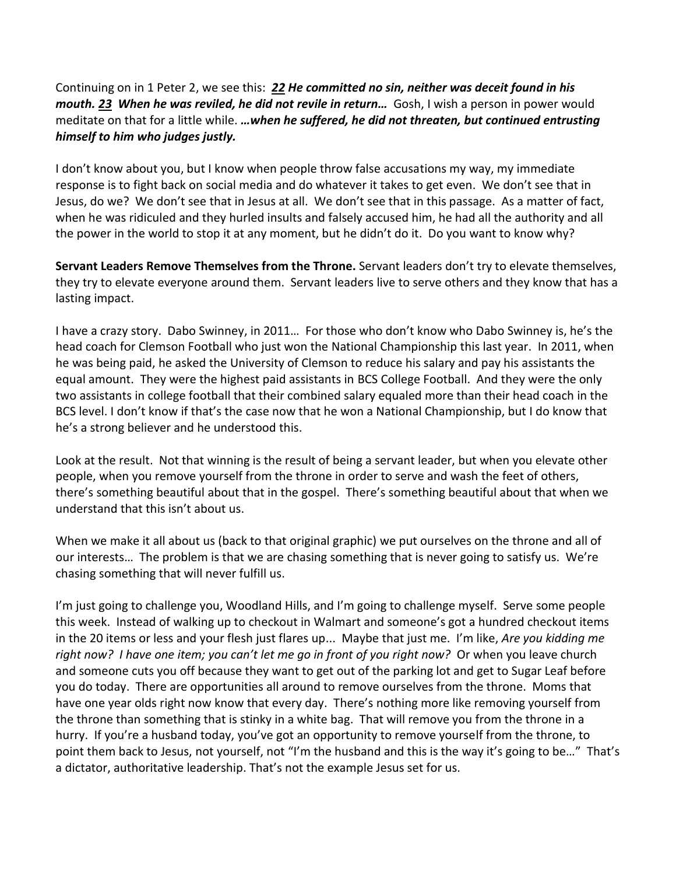Continuing on in 1 Peter 2, we see this: *[22](http://www.studylight.org/desk/?q=1pe%202:22&t1=en_esv&sr=1) He committed no sin, neither was deceit found in his mouth. [23](http://www.studylight.org/desk/?q=1pe%202:23&t1=en_esv&sr=1) When he was reviled, he did not revile in return…* Gosh, I wish a person in power would meditate on that for a little while. *…when he suffered, he did not threaten, but continued entrusting himself to him who judges justly.* 

I don't know about you, but I know when people throw false accusations my way, my immediate response is to fight back on social media and do whatever it takes to get even. We don't see that in Jesus, do we? We don't see that in Jesus at all. We don't see that in this passage. As a matter of fact, when he was ridiculed and they hurled insults and falsely accused him, he had all the authority and all the power in the world to stop it at any moment, but he didn't do it. Do you want to know why?

**Servant Leaders Remove Themselves from the Throne.** Servant leaders don't try to elevate themselves, they try to elevate everyone around them. Servant leaders live to serve others and they know that has a lasting impact.

I have a crazy story. Dabo Swinney, in 2011… For those who don't know who Dabo Swinney is, he's the head coach for Clemson Football who just won the National Championship this last year. In 2011, when he was being paid, he asked the University of Clemson to reduce his salary and pay his assistants the equal amount. They were the highest paid assistants in BCS College Football. And they were the only two assistants in college football that their combined salary equaled more than their head coach in the BCS level. I don't know if that's the case now that he won a National Championship, but I do know that he's a strong believer and he understood this.

Look at the result. Not that winning is the result of being a servant leader, but when you elevate other people, when you remove yourself from the throne in order to serve and wash the feet of others, there's something beautiful about that in the gospel. There's something beautiful about that when we understand that this isn't about us.

When we make it all about us (back to that original graphic) we put ourselves on the throne and all of our interests… The problem is that we are chasing something that is never going to satisfy us. We're chasing something that will never fulfill us.

I'm just going to challenge you, Woodland Hills, and I'm going to challenge myself. Serve some people this week. Instead of walking up to checkout in Walmart and someone's got a hundred checkout items in the 20 items or less and your flesh just flares up... Maybe that just me. I'm like, *Are you kidding me right now? I have one item; you can't let me go in front of you right now?* Or when you leave church and someone cuts you off because they want to get out of the parking lot and get to Sugar Leaf before you do today. There are opportunities all around to remove ourselves from the throne. Moms that have one year olds right now know that every day. There's nothing more like removing yourself from the throne than something that is stinky in a white bag. That will remove you from the throne in a hurry. If you're a husband today, you've got an opportunity to remove yourself from the throne, to point them back to Jesus, not yourself, not "I'm the husband and this is the way it's going to be…" That's a dictator, authoritative leadership. That's not the example Jesus set for us.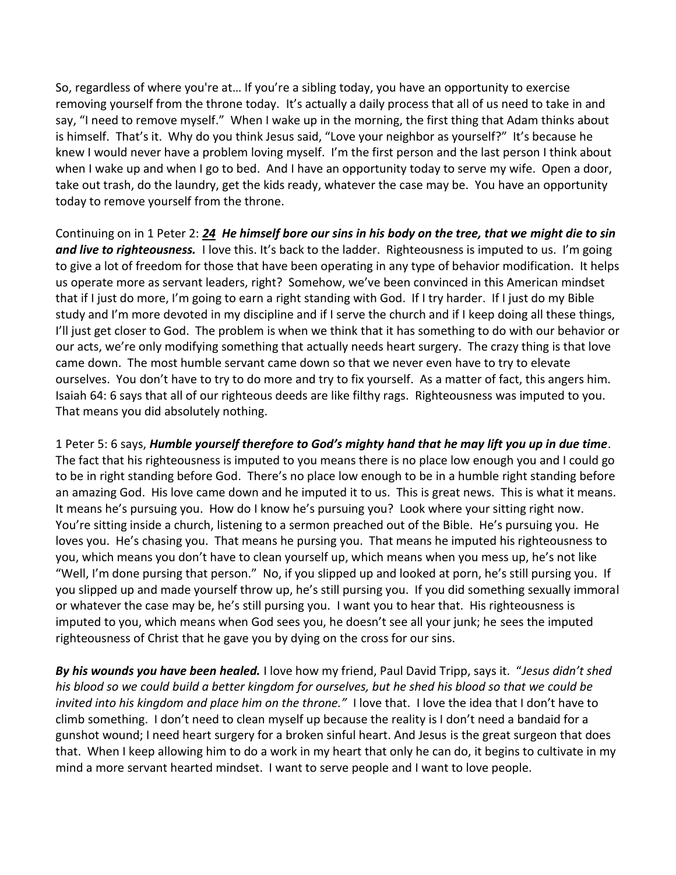So, regardless of where you're at… If you're a sibling today, you have an opportunity to exercise removing yourself from the throne today. It's actually a daily process that all of us need to take in and say, "I need to remove myself." When I wake up in the morning, the first thing that Adam thinks about is himself. That's it. Why do you think Jesus said, "Love your neighbor as yourself?" It's because he knew I would never have a problem loving myself. I'm the first person and the last person I think about when I wake up and when I go to bed. And I have an opportunity today to serve my wife. Open a door, take out trash, do the laundry, get the kids ready, whatever the case may be. You have an opportunity today to remove yourself from the throne.

Continuing on in 1 Peter 2: *[24](http://www.studylight.org/desk/?q=1pe%202:24&t1=en_esv&sr=1) He himself bore our sins in his body on the tree, that we might die to sin and live to righteousness.* I love this. It's back to the ladder. Righteousness is imputed to us. I'm going to give a lot of freedom for those that have been operating in any type of behavior modification. It helps us operate more as servant leaders, right? Somehow, we've been convinced in this American mindset that if I just do more, I'm going to earn a right standing with God. If I try harder. If I just do my Bible study and I'm more devoted in my discipline and if I serve the church and if I keep doing all these things, I'll just get closer to God. The problem is when we think that it has something to do with our behavior or our acts, we're only modifying something that actually needs heart surgery. The crazy thing is that love came down. The most humble servant came down so that we never even have to try to elevate ourselves. You don't have to try to do more and try to fix yourself. As a matter of fact, this angers him. Isaiah 64: 6 says that all of our righteous deeds are like filthy rags. Righteousness was imputed to you. That means you did absolutely nothing.

1 Peter 5: 6 says, *Humble yourself therefore to God's mighty hand that he may lift you up in due time*. The fact that his righteousness is imputed to you means there is no place low enough you and I could go to be in right standing before God. There's no place low enough to be in a humble right standing before an amazing God. His love came down and he imputed it to us. This is great news. This is what it means. It means he's pursuing you. How do I know he's pursuing you? Look where your sitting right now. You're sitting inside a church, listening to a sermon preached out of the Bible. He's pursuing you. He loves you. He's chasing you. That means he pursing you. That means he imputed his righteousness to you, which means you don't have to clean yourself up, which means when you mess up, he's not like "Well, I'm done pursing that person." No, if you slipped up and looked at porn, he's still pursing you. If you slipped up and made yourself throw up, he's still pursing you. If you did something sexually immoral or whatever the case may be, he's still pursing you. I want you to hear that. His righteousness is imputed to you, which means when God sees you, he doesn't see all your junk; he sees the imputed righteousness of Christ that he gave you by dying on the cross for our sins.

*By his wounds you have been healed.* I love how my friend, Paul David Tripp, says it. "*Jesus didn't shed his blood so we could build a better kingdom for ourselves, but he shed his blood so that we could be invited into his kingdom and place him on the throne."* I love that. I love the idea that I don't have to climb something. I don't need to clean myself up because the reality is I don't need a bandaid for a gunshot wound; I need heart surgery for a broken sinful heart. And Jesus is the great surgeon that does that. When I keep allowing him to do a work in my heart that only he can do, it begins to cultivate in my mind a more servant hearted mindset. I want to serve people and I want to love people.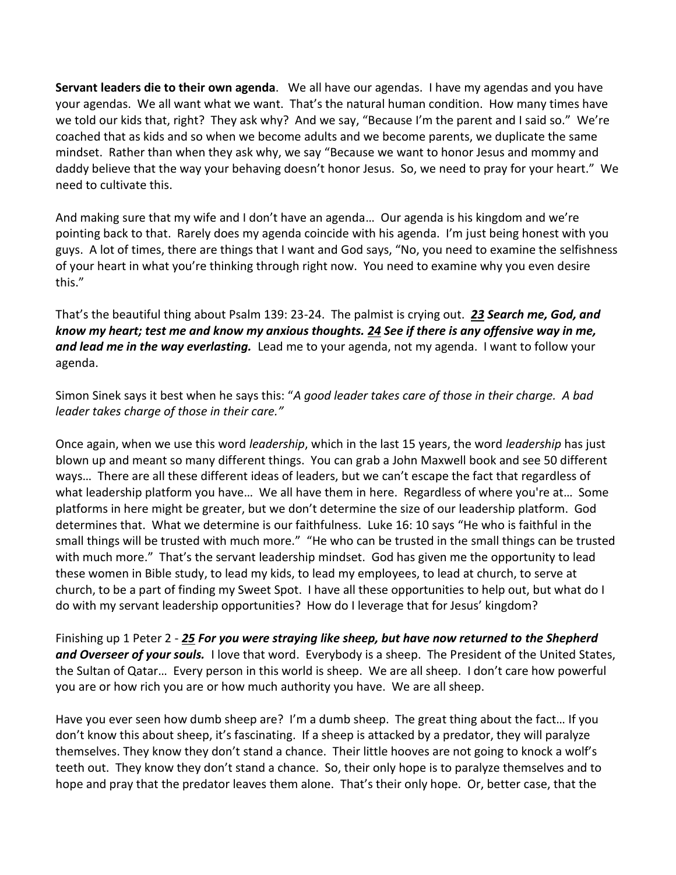**Servant leaders die to their own agenda**. We all have our agendas. I have my agendas and you have your agendas. We all want what we want. That's the natural human condition. How many times have we told our kids that, right? They ask why? And we say, "Because I'm the parent and I said so." We're coached that as kids and so when we become adults and we become parents, we duplicate the same mindset. Rather than when they ask why, we say "Because we want to honor Jesus and mommy and daddy believe that the way your behaving doesn't honor Jesus. So, we need to pray for your heart." We need to cultivate this.

And making sure that my wife and I don't have an agenda… Our agenda is his kingdom and we're pointing back to that. Rarely does my agenda coincide with his agenda. I'm just being honest with you guys. A lot of times, there are things that I want and God says, "No, you need to examine the selfishness of your heart in what you're thinking through right now. You need to examine why you even desire this."

That's the beautiful thing about Psalm 139: 23-24. The palmist is crying out. *[23](http://www.studylight.org/desk/?q=ps%20139:23&t1=en_niv&sr=1) Search me, God, and know my heart; test me and know my anxious thoughts. [24](http://www.studylight.org/desk/?q=ps%20139:24&t1=en_niv&sr=1) See if there is any offensive way in me, and lead me in the way everlasting.* Lead me to your agenda, not my agenda. I want to follow your agenda.

Simon Sinek says it best when he says this: "*A good leader takes care of those in their charge. A bad leader takes charge of those in their care."* 

Once again, when we use this word *leadership*, which in the last 15 years, the word *leadership* has just blown up and meant so many different things. You can grab a John Maxwell book and see 50 different ways… There are all these different ideas of leaders, but we can't escape the fact that regardless of what leadership platform you have... We all have them in here. Regardless of where you're at... Some platforms in here might be greater, but we don't determine the size of our leadership platform. God determines that. What we determine is our faithfulness. Luke 16: 10 says "He who is faithful in the small things will be trusted with much more." "He who can be trusted in the small things can be trusted with much more." That's the servant leadership mindset. God has given me the opportunity to lead these women in Bible study, to lead my kids, to lead my employees, to lead at church, to serve at church, to be a part of finding my Sweet Spot. I have all these opportunities to help out, but what do I do with my servant leadership opportunities? How do I leverage that for Jesus' kingdom?

Finishing up 1 Peter 2 - *[25](http://www.studylight.org/desk/?q=1pe%202:25&t1=en_esv&sr=1) For you were straying like sheep, but have now returned to the Shepherd and Overseer of your souls.* I love that word. Everybody is a sheep. The President of the United States, the Sultan of Qatar… Every person in this world is sheep. We are all sheep. I don't care how powerful you are or how rich you are or how much authority you have. We are all sheep.

Have you ever seen how dumb sheep are? I'm a dumb sheep. The great thing about the fact… If you don't know this about sheep, it's fascinating. If a sheep is attacked by a predator, they will paralyze themselves. They know they don't stand a chance. Their little hooves are not going to knock a wolf's teeth out. They know they don't stand a chance. So, their only hope is to paralyze themselves and to hope and pray that the predator leaves them alone. That's their only hope. Or, better case, that the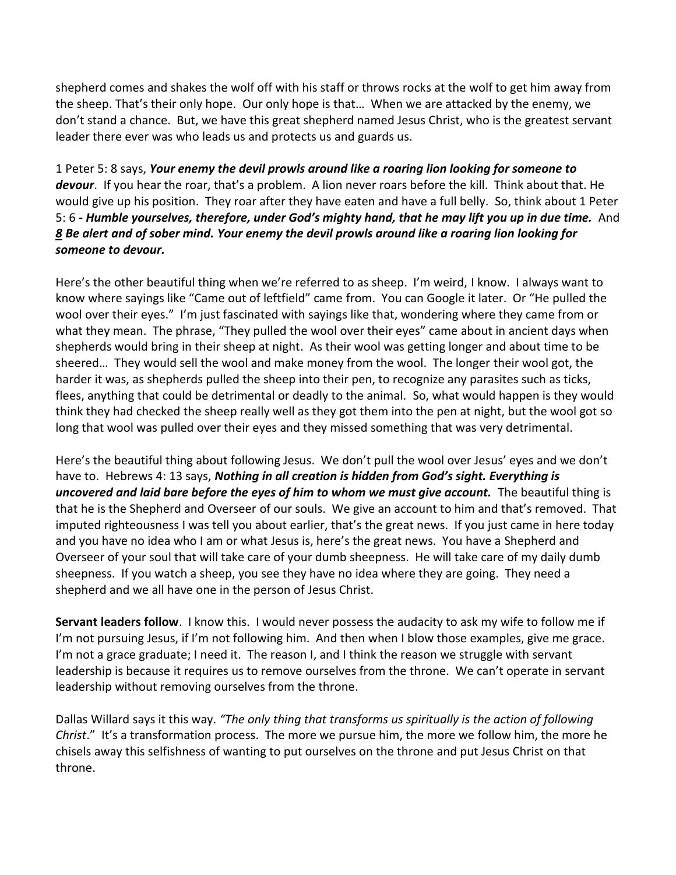shepherd comes and shakes the wolf off with his staff or throws rocks at the wolf to get him away from the sheep. That's their only hope. Our only hope is that… When we are attacked by the enemy, we don't stand a chance. But, we have this great shepherd named Jesus Christ, who is the greatest servant leader there ever was who leads us and protects us and guards us.

1 Peter 5: 8 says, *Your enemy the devil prowls around like a roaring lion looking for someone to*  devour. If you hear the roar, that's a problem. A lion never roars before the kill. Think about that. He would give up his position. They roar after they have eaten and have a full belly. So, think about 1 Peter 5: 6 *- Humble yourselves, therefore, under God's mighty hand, that he may lift you up in due time.* And *[8](http://www.studylight.org/desk/?q=1pe%205:8&t1=en_niv&sr=1) Be alert and of sober mind. Your enemy the devil prowls around like a roaring lion looking for someone to devour.*

Here's the other beautiful thing when we're referred to as sheep. I'm weird, I know. I always want to know where sayings like "Came out of leftfield" came from. You can Google it later. Or "He pulled the wool over their eyes." I'm just fascinated with sayings like that, wondering where they came from or what they mean. The phrase, "They pulled the wool over their eyes" came about in ancient days when shepherds would bring in their sheep at night. As their wool was getting longer and about time to be sheered… They would sell the wool and make money from the wool. The longer their wool got, the harder it was, as shepherds pulled the sheep into their pen, to recognize any parasites such as ticks, flees, anything that could be detrimental or deadly to the animal. So, what would happen is they would think they had checked the sheep really well as they got them into the pen at night, but the wool got so long that wool was pulled over their eyes and they missed something that was very detrimental.

Here's the beautiful thing about following Jesus. We don't pull the wool over Jesus' eyes and we don't have to. Hebrews 4: 13 says, *Nothing in all creation is hidden from God's sight. Everything is uncovered and laid bare before the eyes of him to whom we must give account.* The beautiful thing is that he is the Shepherd and Overseer of our souls. We give an account to him and that's removed. That imputed righteousness I was tell you about earlier, that's the great news. If you just came in here today and you have no idea who I am or what Jesus is, here's the great news. You have a Shepherd and Overseer of your soul that will take care of your dumb sheepness. He will take care of my daily dumb sheepness. If you watch a sheep, you see they have no idea where they are going. They need a shepherd and we all have one in the person of Jesus Christ.

**Servant leaders follow**. I know this. I would never possess the audacity to ask my wife to follow me if I'm not pursuing Jesus, if I'm not following him. And then when I blow those examples, give me grace. I'm not a grace graduate; I need it. The reason I, and I think the reason we struggle with servant leadership is because it requires us to remove ourselves from the throne. We can't operate in servant leadership without removing ourselves from the throne.

Dallas Willard says it this way. *"The only thing that transforms us spiritually is the action of following Christ*." It's a transformation process. The more we pursue him, the more we follow him, the more he chisels away this selfishness of wanting to put ourselves on the throne and put Jesus Christ on that throne.